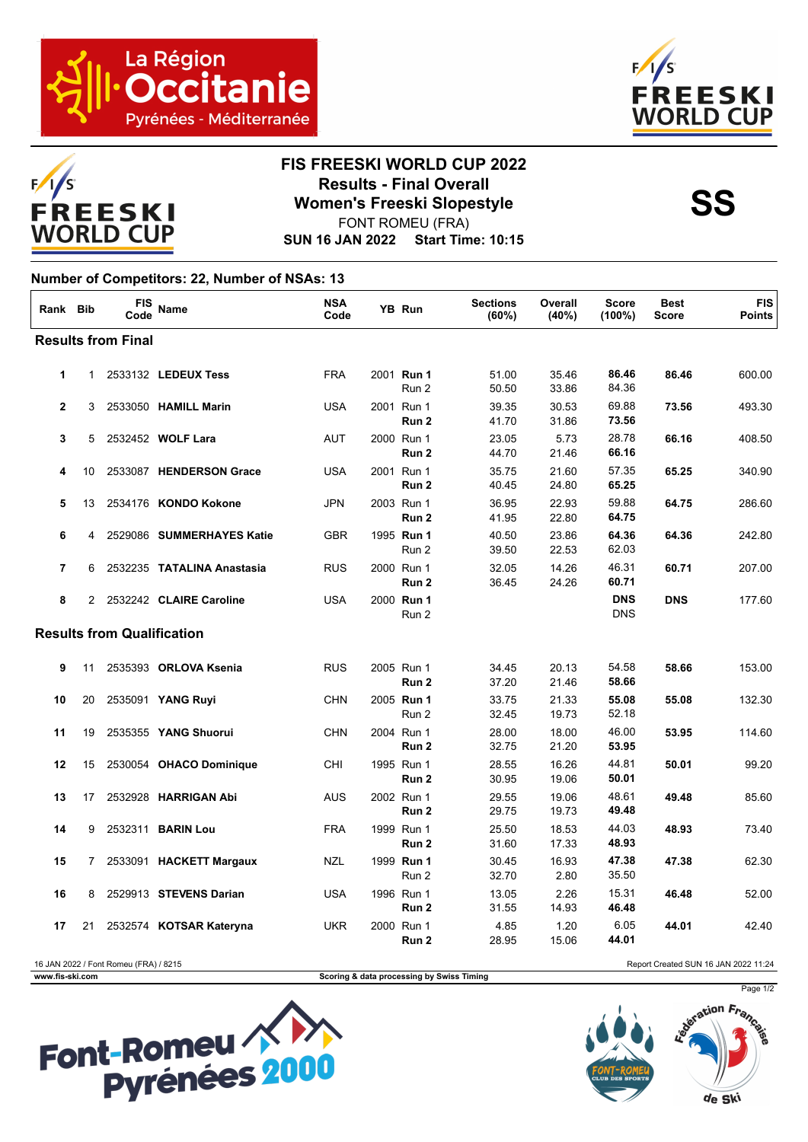





## **FIS FREESKI WORLD CUP 2022 Results - Final Overall<br>
Women's Freeski Slopestyle<br>
FONT POMELL(ERA)**

**SUN 16 JAN 2022 Start Time: 10:15** FONT ROMEU (FRA)

## **Number of Competitors: 22, Number of NSAs: 13**

| Rank Bib                          |                | <b>FIS</b><br>Code | <b>Name</b>                | <b>NSA</b><br>Code |  | YB Run                         | <b>Sections</b><br>(60%) | Overall<br>(40%) | Score<br>$(100\%)$       | <b>Best</b><br><b>Score</b> | <b>FIS</b><br><b>Points</b> |
|-----------------------------------|----------------|--------------------|----------------------------|--------------------|--|--------------------------------|--------------------------|------------------|--------------------------|-----------------------------|-----------------------------|
| <b>Results from Final</b>         |                |                    |                            |                    |  |                                |                          |                  |                          |                             |                             |
| 1                                 | 1              |                    | 2533132 LEDEUX Tess        | <b>FRA</b>         |  | 2001 Run 1<br>Run 2            | 51.00<br>50.50           | 35.46<br>33.86   | 86.46<br>84.36           | 86.46                       | 600.00                      |
| $\overline{2}$                    | 3              |                    | 2533050 HAMILL Marin       | <b>USA</b>         |  | 2001 Run 1<br>Run 2            | 39.35<br>41.70           | 30.53<br>31.86   | 69.88<br>73.56           | 73.56                       | 493.30                      |
| 3                                 | 5              |                    | 2532452 WOLF Lara          | <b>AUT</b>         |  | 2000 Run 1<br>Run 2            | 23.05<br>44.70           | 5.73<br>21.46    | 28.78<br>66.16           | 66.16                       | 408.50                      |
| 4                                 | 10             |                    | 2533087 HENDERSON Grace    | <b>USA</b>         |  | 2001 Run 1<br>Run 2            | 35.75<br>40.45           | 21.60<br>24.80   | 57.35<br>65.25           | 65.25                       | 340.90                      |
| 5                                 | 13             |                    | 2534176 KONDO Kokone       | <b>JPN</b>         |  | 2003 Run 1<br>Run 2            | 36.95<br>41.95           | 22.93<br>22.80   | 59.88<br>64.75           | 64.75                       | 286.60                      |
| 6                                 | 4              |                    | 2529086 SUMMERHAYES Katie  | <b>GBR</b>         |  | 1995 Run 1<br>Run 2            | 40.50<br>39.50           | 23.86<br>22.53   | 64.36<br>62.03           | 64.36                       | 242.80                      |
| $\overline{7}$                    | 6              |                    | 2532235 TATALINA Anastasia | <b>RUS</b>         |  | 2000 Run 1<br>Run <sub>2</sub> | 32.05<br>36.45           | 14.26<br>24.26   | 46.31<br>60.71           | 60.71                       | 207.00                      |
| 8                                 | $\overline{2}$ |                    | 2532242 CLAIRE Caroline    | <b>USA</b>         |  | 2000 Run 1<br>Run 2            |                          |                  | <b>DNS</b><br><b>DNS</b> | <b>DNS</b>                  | 177.60                      |
| <b>Results from Qualification</b> |                |                    |                            |                    |  |                                |                          |                  |                          |                             |                             |
| 9                                 | 11             |                    | 2535393 ORLOVA Ksenia      | <b>RUS</b>         |  | 2005 Run 1<br>Run 2            | 34.45<br>37.20           | 20.13<br>21.46   | 54.58<br>58.66           | 58.66                       | 153.00                      |
| 10                                | 20             |                    | 2535091 YANG Ruyi          | <b>CHN</b>         |  | 2005 Run 1<br>Run 2            | 33.75<br>32.45           | 21.33<br>19.73   | 55.08<br>52.18           | 55.08                       | 132.30                      |
| 11                                | 19             |                    | 2535355 YANG Shuorui       | <b>CHN</b>         |  | 2004 Run 1<br>Run 2            | 28.00<br>32.75           | 18.00<br>21.20   | 46.00<br>53.95           | 53.95                       | 114.60                      |
| 12                                | 15             |                    | 2530054 OHACO Dominique    | CHI                |  | 1995 Run 1<br>Run <sub>2</sub> | 28.55<br>30.95           | 16.26<br>19.06   | 44.81<br>50.01           | 50.01                       | 99.20                       |
| 13                                | 17             |                    | 2532928 HARRIGAN Abi       | <b>AUS</b>         |  | 2002 Run 1<br>Run 2            | 29.55<br>29.75           | 19.06<br>19.73   | 48.61<br>49.48           | 49.48                       | 85.60                       |
| 14                                | 9              |                    | 2532311 <b>BARIN Lou</b>   | <b>FRA</b>         |  | 1999 Run 1<br>Run 2            | 25.50<br>31.60           | 18.53<br>17.33   | 44.03<br>48.93           | 48.93                       | 73.40                       |
| 15                                | $7^{\circ}$    |                    | 2533091 HACKETT Margaux    | <b>NZL</b>         |  | 1999 Run 1<br>Run 2            | 30.45<br>32.70           | 16.93<br>2.80    | 47.38<br>35.50           | 47.38                       | 62.30                       |
| 16                                | 8              |                    | 2529913 STEVENS Darian     | <b>USA</b>         |  | 1996 Run 1<br>Run 2            | 13.05<br>31.55           | 2.26<br>14.93    | 15.31<br>46.48           | 46.48                       | 52.00                       |
| 17                                | 21             |                    | 2532574 KOTSAR Kateryna    | <b>UKR</b>         |  | 2000 Run 1<br>Run 2            | 4.85<br>28.95            | 1.20<br>15.06    | 6.05<br>44.01            | 44.01                       | 42.40                       |

16 JAN 2022 / Font Romeu (FRA) / 8215 Report Created SUN 16 JAN 2022 11:24 **www.fis-ski.com Scoring & data processing by Swiss Timing**